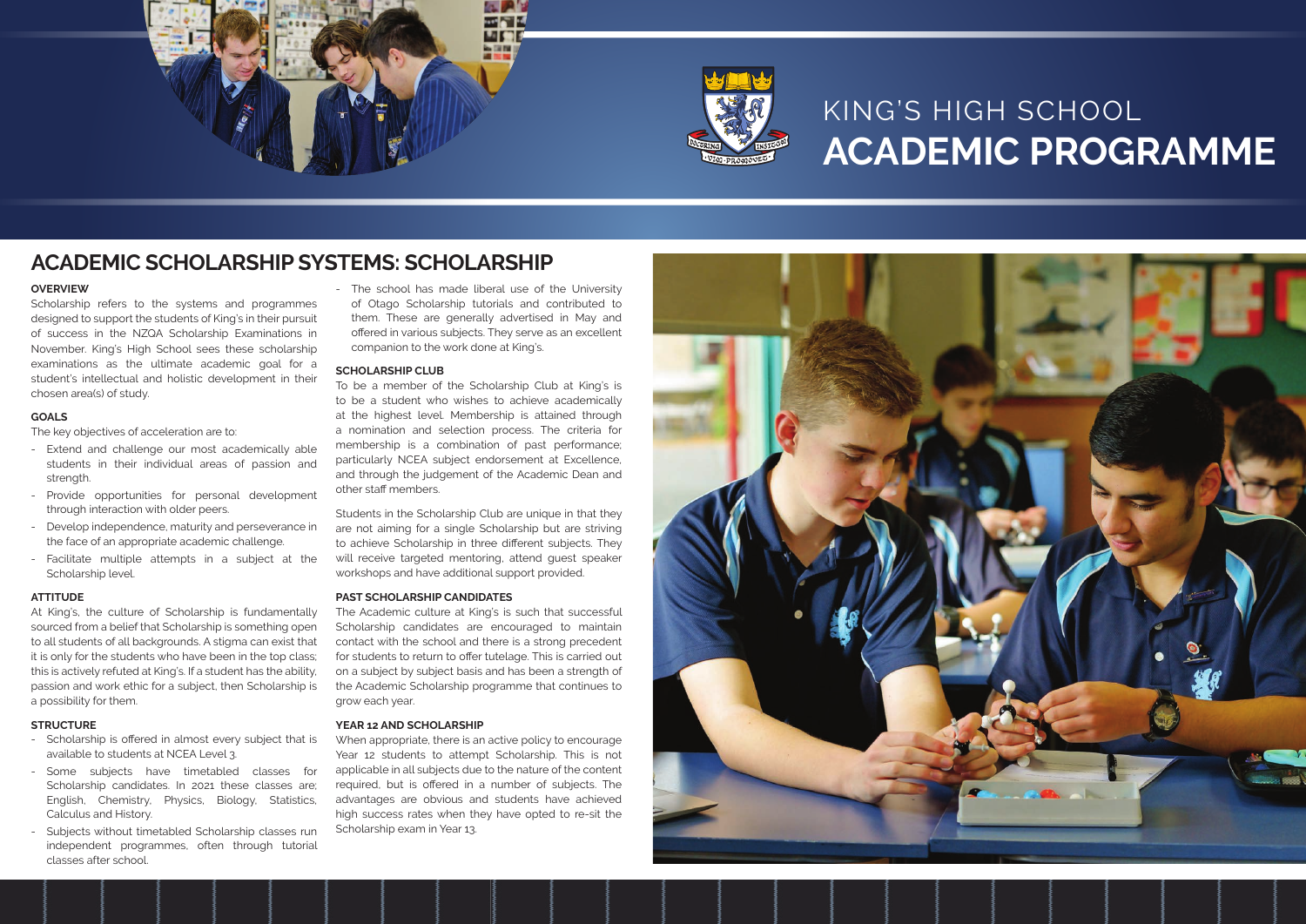

# **ACADEMIC PROGRAMME**

#### **OVERVIEW**

Scholarship refers to the systems and programmes designed to support the students of King's in their pursuit of success in the NZQA Scholarship Examinations in November. King's High School sees these scholarship examinations as the ultimate academic goal for a student's intellectual and holistic development in their chosen area(s) of study.

#### **GOALS**

The key objectives of acceleration are to:

- Extend and challenge our most academically able students in their individual areas of passion and strength.
- Provide opportunities for personal development through interaction with older peers.
- Develop independence, maturity and perseverance in the face of an appropriate academic challenge.
- Facilitate multiple attempts in a subject at the Scholarship level.

- Scholarship is offered in almost every subject that is available to students at NCEA Level 3.
- Some subjects have timetabled classes for Scholarship candidates. In 2021 these classes are; English, Chemistry, Physics, Biology, Statistics, Calculus and History.
- Subjects without timetabled Scholarship classes run independent programmes, often through tutorial classes after school.

#### **ATTITUDE**

At King's, the culture of Scholarship is fundamentally sourced from a belief that Scholarship is something open to all students of all backgrounds. A stigma can exist that it is only for the students who have been in the top class; this is actively refuted at King's. If a student has the ability, passion and work ethic for a subject, then Scholarship is a possibility for them.

#### **STRUCTURE**

## **ACADEMIC SCHOLARSHIP SYSTEMS: SCHOLARSHIP**

- The school has made liberal use of the University of Otago Scholarship tutorials and contributed to them. These are generally advertised in May and offered in various subjects. They serve as an excellent companion to the work done at King's.

#### **SCHOLARSHIP CLUB**

To be a member of the Scholarship Club at King's is to be a student who wishes to achieve academically at the highest level. Membership is attained through a nomination and selection process. The criteria for membership is a combination of past performance; particularly NCEA subject endorsement at Excellence, and through the judgement of the Academic Dean and other staff members.

Students in the Scholarship Club are unique in that they are not aiming for a single Scholarship but are striving to achieve Scholarship in three different subjects. They will receive targeted mentoring, attend guest speaker workshops and have additional support provided.

#### **PAST SCHOLARSHIP CANDIDATES**

The Academic culture at King's is such that successful Scholarship candidates are encouraged to maintain contact with the school and there is a strong precedent for students to return to offer tutelage. This is carried out on a subject by subject basis and has been a strength of the Academic Scholarship programme that continues to grow each year.

#### **YEAR 12 AND SCHOLARSHIP**

When appropriate, there is an active policy to encourage Year 12 students to attempt Scholarship. This is not applicable in all subjects due to the nature of the content required, but is offered in a number of subjects. The advantages are obvious and students have achieved high success rates when they have opted to re-sit the Scholarship exam in Year 13.